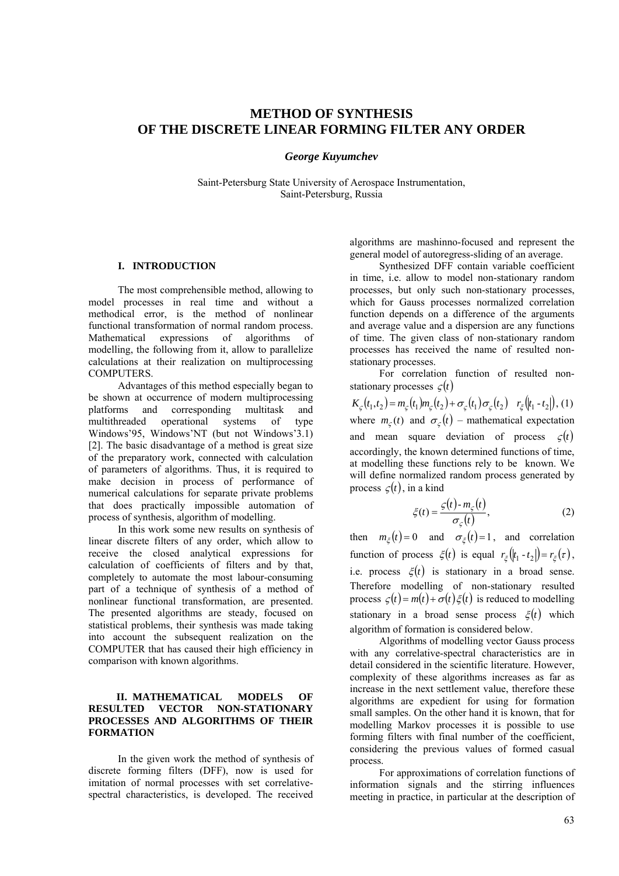# **METHOD OF SYNTHESIS OF THE DISCRETE LINEAR FORMING FILTER ANY ORDER**

*George Kuyumchev* 

Saint-Petersburg State University of Aerospace Instrumentation, Saint-Petersburg, Russia

# **I. INTRODUCTION**

The most comprehensible method, allowing to model processes in real time and without a methodical error, is the method of nonlinear functional transformation of normal random process. Mathematical expressions of algorithms of modelling, the following from it, allow to parallelize calculations at their realization on multiprocessing COMPUTERS.

Advantages of this method especially began to be shown at occurrence of modern multiprocessing platforms and corresponding multitask and multithreaded operational systems of type Windows'95, Windows'NT (but not Windows'3.1) [2]. The basic disadvantage of a method is great size of the preparatory work, connected with calculation of parameters of algorithms. Thus, it is required to make decision in process of performance of numerical calculations for separate private problems that does practically impossible automation of process of synthesis, algorithm of modelling.

In this work some new results on synthesis of linear discrete filters of any order, which allow to receive the closed analytical expressions for calculation of coefficients of filters and by that, completely to automate the most labour-consuming part of a technique of synthesis of a method of nonlinear functional transformation, are presented. The presented algorithms are steady, focused on statistical problems, their synthesis was made taking into account the subsequent realization on the COMPUTER that has caused their high efficiency in comparison with known algorithms.

# **II. MATHEMATICAL MODELS OF RESULTED VECTOR NON-STATIONARY PROCESSES AND ALGORITHMS OF THEIR FORMATION**

In the given work the method of synthesis of discrete forming filters (DFF), now is used for imitation of normal processes with set correlativespectral characteristics, is developed. The received

algorithms are mashinno-focused and represent the general model of autoregress-sliding of an average.

Synthesized DFF contain variable coefficient in time, i.e. allow to model non-stationary random processes, but only such non-stationary processes, which for Gauss processes normalized correlation function depends on a difference of the arguments and average value and a dispersion are any functions of time. The given class of non-stationary random processes has received the name of resulted nonstationary processes.

For correlation function of resulted nonstationary processes  $\zeta(t)$ 

 $K_c(t_1, t_2) = m_c(t_1) m_c(t_2) + \sigma_c(t_1) \sigma_c(t_2)$   $r_{\xi}(t_1 - t_2)$ , (1) where  $m_c(t)$  and  $\sigma_c(t)$  – mathematical expectation and mean square deviation of process  $\zeta(t)$ accordingly, the known determined functions of time, at modelling these functions rely to be known. We will define normalized random process generated by process  $\zeta(t)$ , in a kind

$$
\xi(t) = \frac{\varsigma(t) - m_{\varsigma}(t)}{\sigma_{\varsigma}(t)},
$$
\n(2)

then  $m_{\xi}(t) = 0$  and  $\sigma_{\xi}(t) = 1$ , and correlation function of process  $\xi(t)$  is equal  $r_{\xi}(|t_1 - t_2|) = r_{\xi}(\tau)$ , i.e. process  $\xi(t)$  is stationary in a broad sense. Therefore modelling of non-stationary resulted process  $\zeta(t) = m(t) + \sigma(t) \xi(t)$  is reduced to modelling stationary in a broad sense process  $\xi(t)$  which algorithm of formation is considered below.

Algorithms of modelling vector Gauss process with any correlative-spectral characteristics are in detail considered in the scientific literature. However, complexity of these algorithms increases as far as increase in the next settlement value, therefore these algorithms are expedient for using for formation small samples. On the other hand it is known, that for modelling Markov processes it is possible to use forming filters with final number of the coefficient, considering the previous values of formed casual process.

For approximations of correlation functions of information signals and the stirring influences meeting in practice, in particular at the description of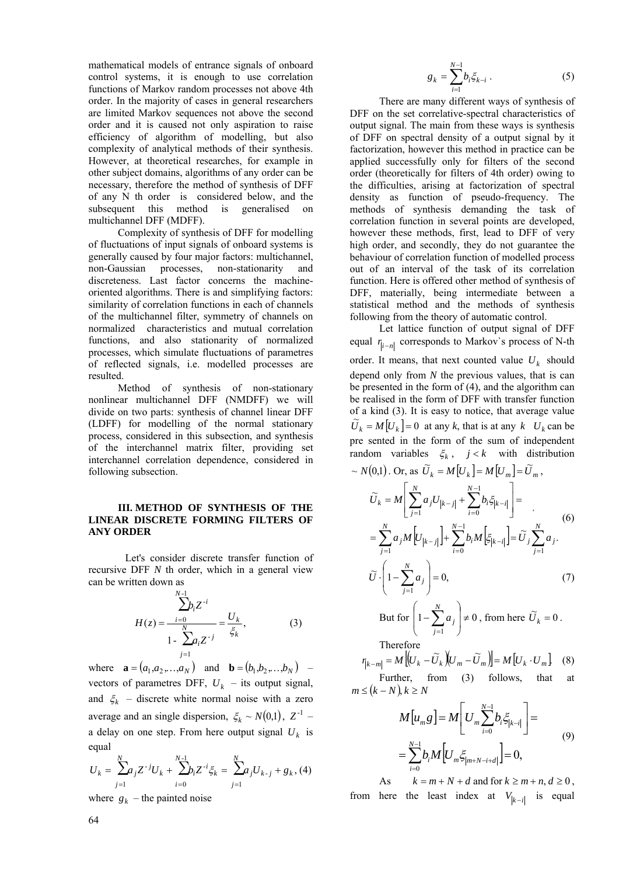mathematical models of entrance signals of onboard control systems, it is enough to use correlation functions of Markov random processes not above 4th order. In the majority of cases in general researchers are limited Markov sequences not above the second order and it is caused not only aspiration to raise efficiency of algorithm of modelling, but also complexity of analytical methods of their synthesis. However, at theoretical researches, for example in other subject domains, algorithms of any order can be necessary, therefore the method of synthesis of DFF of any N th order is considered below, and the subsequent this method is generalised on multichannel DFF (MDFF).

Complexity of synthesis of DFF for modelling of fluctuations of input signals of onboard systems is generally caused by four major factors: multichannel, non-Gaussian processes, non-stationarity and discreteness. Last factor concerns the machineoriented algorithms. There is and simplifying factors: similarity of correlation functions in each of channels of the multichannel filter, symmetry of channels on normalized characteristics and mutual correlation functions, and also stationarity of normalized processes, which simulate fluctuations of parametres of reflected signals, i.e. modelled processes are resulted.

Method of synthesis of non-stationary nonlinear multichannel DFF (NMDFF) we will divide on two parts: synthesis of channel linear DFF (LDFF) for modelling of the normal stationary process, considered in this subsection, and synthesis of the interchannel matrix filter, providing set interchannel correlation dependence, considered in following subsection.

# **III. METHOD OF SYNTHESIS OF THE LINEAR DISCRETE FORMING FILTERS OF ANY ORDER**

Let's consider discrete transfer function of recursive DFF *N* th order, which in a general view can be written down as

$$
H(z) = \frac{\sum_{i=0}^{N-1} b_i z^{-i}}{1 - \sum_{j=1}^{N} a_i z^{-j}} = \frac{U_k}{\xi_k},
$$
 (3)

where  $\mathbf{a} = (a_1, a_2, ..., a_N)$  and  $\mathbf{b} = (b_1, b_2, ..., b_N)$  – vectors of parametres DFF,  $U_k$  – its output signal, and  $\xi_k$  – discrete white normal noise with a zero average and an single dispersion,  $\zeta_k \sim N(0,1)$ ,  $Z^{-1}$  – a delay on one step. From here output signal  $U_k$  is equal

$$
U_{k} = \sum_{j=1}^{N} a_{j} Z^{-j} U_{k} + \sum_{i=0}^{N-1} b_{i} Z^{-i} \xi_{k} = \sum_{j=1}^{N} a_{j} U_{k-j} + g_{k}, (4)
$$

where  $g_k$  – the painted noise

$$
g_k = \sum_{i=1}^{N-1} b_i \xi_{k-i} \ . \tag{5}
$$

There are many different ways of synthesis of DFF on the set correlative-spectral characteristics of output signal. The main from these ways is synthesis of DFF on spectral density of a output signal by it factorization, however this method in practice can be applied successfully only for filters of the second order (theoretically for filters of 4th order) owing to the difficulties, arising at factorization of spectral density as function of pseudo-frequency. The methods of synthesis demanding the task of correlation function in several points are developed, however these methods, first, lead to DFF of very high order, and secondly, they do not guarantee the behaviour of correlation function of modelled process out of an interval of the task of its correlation function. Here is offered other method of synthesis of DFF, materially, being intermediate between a statistical method and the methods of synthesis following from the theory of automatic control.

Let lattice function of output signal of DFF equal  $r_{i-n}$  corresponds to Markov's process of N-th order. It means, that next counted value  $U_k$  should depend only from *N* the previous values, that is can be presented in the form of (4), and the algorithm can be realised in the form of DFF with transfer function of a kind (3). It is easy to notice, that average value  $\widetilde{U}_k = M[U_k] = 0$  at any *k*, that is at any *k*  $U_k$  can be pre sented in the form of the sum of independent random variables  $\xi_k$ ,  $j < k$  with distribution

$$
\sim N(0,1) \text{ or, as } \widetilde{U}_k = M[U_k] = M[U_m] = \widetilde{U}_m,
$$
  
\n
$$
\widetilde{U}_k = M\left[\sum_{j=1}^N a_j U_{|k-j|} + \sum_{i=0}^{N-1} b_i \xi_{|k-i|}\right] =
$$
  
\n
$$
= \sum_{j=1}^N a_j M[U_{|k-j|}] + \sum_{i=0}^{N-1} b_i M[\xi_{|k-i|}] = \widetilde{U}_j \sum_{j=1}^N a_j.
$$
  
\n
$$
\widetilde{U} \cdot \left(1 - \sum_{j=1}^N a_j\right) = 0,
$$
  
\n
$$
\text{But for } \left(1 - \sum_{j=1}^N a_j\right) \neq 0 \text{, from here } \widetilde{U}_k = 0.
$$
  
\nTherefore  
\n
$$
\eta_{k-m} = M\left[(U_k - \widetilde{U}_k)(U_m - \widetilde{U}_m)\right] = M[U_k \cdot U_m] \quad (8)
$$
  
\nFurther, from (3) follows, that at  
\n
$$
m \le (k - N), k \ge N
$$

$$
M[u_{m}g] = M\left[U_{m}\sum_{i=0}^{N-1}b_{i}\xi_{|k-i|}\right] =
$$
  
=  $\sum_{i=0}^{N-1}b_{i}M\left[U_{m}\xi_{|m+N-i+d|}\right] = 0,$  (9)

As  $k = m + N + d$  and for  $k \ge m + n, d \ge 0$ , from here the least index at  $V_{|k-i|}$  is equal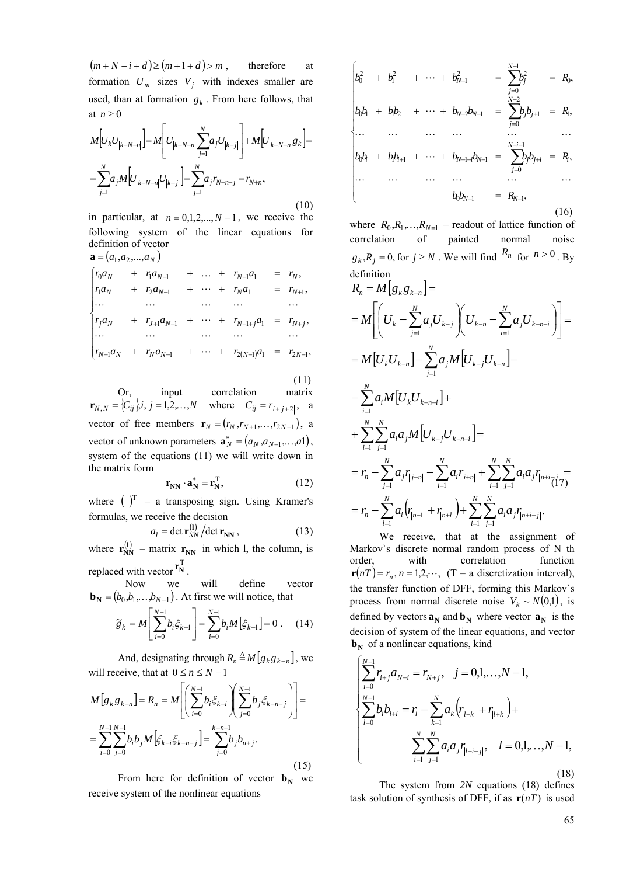$(m + N - i + d) \ge (m + 1 + d) > m$ , therefore at formation  $U_m$  sizes  $V_i$  with indexes smaller are used, than at formation  $g_k$ . From here follows, that at  $n \geq 0$ 

$$
M[U_{k}U_{|k-N-n|}] = M[U_{|k-N-n|}\sum_{j=1}^{N} a_{j}U_{|k-j|}] + M[U_{|k-N-n|}g_{k}] =
$$
  

$$
= \sum_{j=1}^{N} a_{j}M[U_{|k-N-n|}U_{|k-j|}] = \sum_{j=1}^{N} a_{j}r_{N+n-j} = r_{N+n},
$$
 (10)

in particular, at  $n = 0,1,2,...,N-1$ , we receive the following system of the linear equations for definition of vector  $\mathbf{a} = (a, a_2, a_3)$ 

$$
\begin{cases}\nr_0 a_N + r_1 a_{N-1} + \dots + r_{N-1} a_1 = r_N, \\
r_1 a_N + r_2 a_{N-1} + \dots + r_N a_1 = r_{N+1}, \\
\dots & \dots & \dots & \dots \\
r_j a_N + r_{j+1} a_{N-1} + \dots + r_{N-1+j} a_1 = r_{N+j}, \\
\dots & \dots & \dots & \dots \\
r_{N-1} a_N + r_N a_{N-1} + \dots + r_{2(N-1)} a_1 = r_{2N-1}, \\
\dots & \dots & \dots & \dots\n\end{cases}
$$

 (11) Or, input correlation matrix  $\mathbf{r}_{N,N} = \{C_{ij}\}\; ; \; j = 1,2,\dots,N$  where  $C_{ij} = r_{i+j+2}, \; a$ vector of free members  $\mathbf{r}_N = (r_N, r_{N+1}, \dots, r_{2N-1})$ , a vector of unknown parameters  $\mathbf{a}_N^* = (a_N, a_{N-1},...,a_1)$ , system of the equations (11) we will write down in the matrix form

$$
\mathbf{r}_{\mathbf{N}\mathbf{N}} \cdot \mathbf{a}_{\mathbf{N}}^* = \mathbf{r}_{\mathbf{N}}^{\mathrm{T}},\tag{12}
$$

where  $(\ )^T$  – a transposing sign. Using Kramer's formulas, we receive the decision

$$
a_l = \det \mathbf{r}_{NN}^{(1)} / \det \mathbf{r}_{NN},
$$
 (13)

where  $\mathbf{r}_{NN}^{(1)}$  – matrix  $\mathbf{r}_{NN}$  in which l, the column, is replaced with vector  $\mathbf{r}_N^T$ .

Now we will define vector  $\mathbf{b_N} = (b_0, b_1, \dots, b_{N-1})$ . At first we will notice, that

$$
\widetilde{g}_k = M \left[ \sum_{i=0}^{N-1} b_i \xi_{k-1} \right] = \sum_{i=0}^{N-1} b_i M \left[ \xi_{k-1} \right] = 0 \ . \tag{14}
$$

And, designating through  $R_n \triangleq M[g_k g_{k-n}]$ , we will receive, that at  $0 \le n \le N - 1$ 

$$
M[g_k g_{k-n}] = R_n = M\left[ \left( \sum_{i=0}^{N-1} b_i \xi_{k-i} \right) \left( \sum_{j=0}^{N-1} b_j \xi_{k-n-j} \right) \right] =
$$
  
= 
$$
\sum_{i=0}^{N-1} \sum_{j=0}^{N-1} b_i b_j M \left[ \xi_{k-i} \xi_{k-n-j} \right] = \sum_{j=0}^{N-n-1} b_j b_{n+j}.
$$
 (15)

From here for definition of vector  $\mathbf{b}_N$  we receive system of the nonlinear equations

$$
\begin{vmatrix} b_0^2 & +b_1^2 & + \cdots + b_{N-1}^2 & = \sum_{j=0}^{N-1} b_j^2 & = R_0, \\ b_0b_1 + b_1b_2 & + \cdots + b_{N-2}b_{N-1} & = \sum_{j=0}^{N-2} b_jb_{j+1} & = R_1, \\ \cdots & \cdots & \cdots & \cdots & \cdots \\ b_0b_i + b_1b_{i+1} + \cdots + b_{N-1-i}b_{N-1} & = \sum_{j=0}^{N-i-1} b_jb_{j+i} & = R_i, \\ \cdots & \cdots & \cdots & \cdots & \cdots \\ b_0b_{N-1} & = R_{N-1}, \end{vmatrix}
$$
 (16)

where  $R_0, R_1, \ldots, R_{N-1}$  – readout of lattice function of correlation of painted normal noise  $g_k$ ,  $R_j = 0$ , for  $j \ge N$ . We will find  $R_n$  for  $n > 0$ . By definition

$$
R_{n} = M[g_{k}g_{k-n}] =
$$
\n
$$
= M\left[\left(U_{k} - \sum_{j=1}^{N} a_{j}U_{k-j}\right)\left(U_{k-n} - \sum_{i=1}^{N} a_{j}U_{k-n-i}\right)\right] =
$$
\n
$$
= M[U_{k}U_{k-n}] - \sum_{j=1}^{N} a_{j}M[U_{k-j}U_{k-n}] -
$$
\n
$$
- \sum_{i=1}^{N} a_{i}M[U_{k}U_{k-n-i}] +
$$
\n
$$
+ \sum_{i=1}^{N} \sum_{j=1}^{N} a_{i}a_{j}M[U_{k-j}U_{k-n-i}] =
$$
\n
$$
= r_{n} - \sum_{j=1}^{N} a_{j}r_{j-n} - \sum_{i=1}^{N} a_{i}r_{i+n} + \sum_{i=1}^{N} \sum_{j=1}^{N} a_{i}a_{j}r_{n+i-j} =
$$
\n
$$
= r_{n} - \sum_{l=1}^{N} a_{l}\left(r_{n-l} + r_{n+l}\right) + \sum_{i=1}^{N} \sum_{j=1}^{N} a_{i}a_{j}r_{n+i-j}.
$$

We receive, that at the assignment of Markov`s discrete normal random process of N th order, with correlation function  $\mathbf{r}(n) = r_n$ ,  $n = 1, 2, \dots$ ,  $(T - a$  discretization interval), the transfer function of DFF, forming this Markov`s process from normal discrete noise  $V_k \sim N(0,1)$ , is defined by vectors  $\mathbf{a_N}$  and  $\mathbf{b_N}$  where vector  $\mathbf{a_N}$  is the decision of system of the linear equations, and vector  $\mathbf{b_N}$  of a nonlinear equations, kind

$$
\begin{cases}\n\sum_{i=0}^{N-1} r_{i+j} a_{N-i} = r_{N+j}, & j = 0,1,...,N-1, \\
\sum_{l=0}^{N-1} b_l b_{i+l} = r_l - \sum_{k=1}^{N} a_k \left( r_{|l-k|} + r_{|l+k|} \right) + \\
& \sum_{i=1}^{N} \sum_{j=1}^{N} a_i a_j r_{|l+i-j|}, & l = 0,1,...,N-1,\n\end{cases}
$$
\n(18)

The system from *2N* equations (18) defines task solution of synthesis of DFF, if as  $\mathbf{r}(nT)$  is used